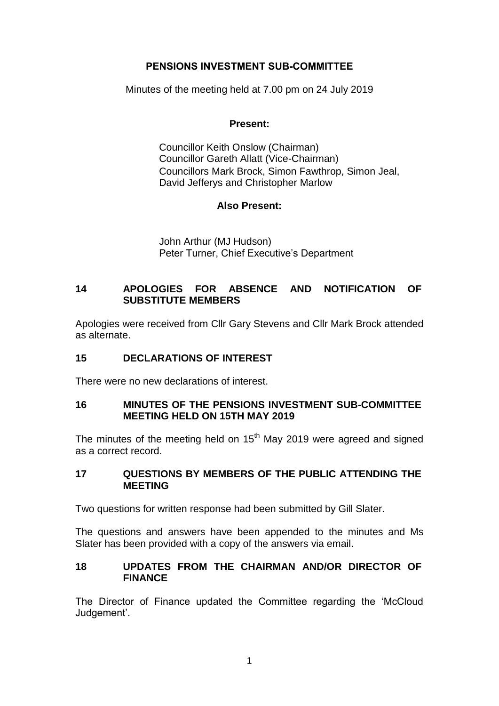# **PENSIONS INVESTMENT SUB-COMMITTEE**

Minutes of the meeting held at 7.00 pm on 24 July 2019

### **Present:**

Councillor Keith Onslow (Chairman) Councillor Gareth Allatt (Vice-Chairman) Councillors Mark Brock, Simon Fawthrop, Simon Jeal, David Jefferys and Christopher Marlow

## **Also Present:**

John Arthur (MJ Hudson) Peter Turner, Chief Executive's Department

# **14 APOLOGIES FOR ABSENCE AND NOTIFICATION OF SUBSTITUTE MEMBERS**

Apologies were received from Cllr Gary Stevens and Cllr Mark Brock attended as alternate.

# **15 DECLARATIONS OF INTEREST**

There were no new declarations of interest.

## **16 MINUTES OF THE PENSIONS INVESTMENT SUB-COMMITTEE MEETING HELD ON 15TH MAY 2019**

The minutes of the meeting held on  $15<sup>th</sup>$  May 2019 were agreed and signed as a correct record.

#### **17 QUESTIONS BY MEMBERS OF THE PUBLIC ATTENDING THE MEETING**

Two questions for written response had been submitted by Gill Slater.

The questions and answers have been appended to the minutes and Ms Slater has been provided with a copy of the answers via email.

#### **18 UPDATES FROM THE CHAIRMAN AND/OR DIRECTOR OF FINANCE**

The Director of Finance updated the Committee regarding the 'McCloud Judgement'.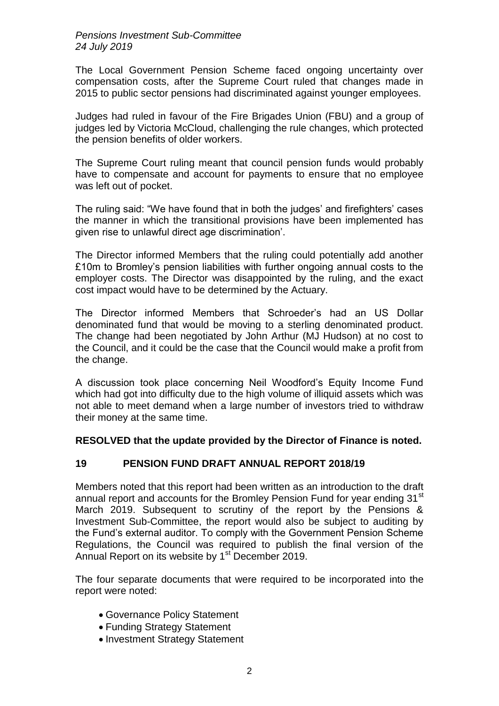The Local Government Pension Scheme faced ongoing uncertainty over compensation costs, after the Supreme Court ruled that changes made in 2015 to public sector pensions had discriminated against younger employees.

Judges had ruled in favour of the Fire Brigades Union (FBU) and a group of judges led by Victoria McCloud, challenging the rule changes, which protected the pension benefits of older workers.

The Supreme Court ruling meant that council pension funds would probably have to compensate and account for payments to ensure that no employee was left out of pocket.

The ruling said: "We have found that in both the judges' and firefighters' cases the manner in which the transitional provisions have been implemented has given rise to unlawful direct age discrimination'.

The Director informed Members that the ruling could potentially add another £10m to Bromley's pension liabilities with further ongoing annual costs to the employer costs. The Director was disappointed by the ruling, and the exact cost impact would have to be determined by the Actuary.

The Director informed Members that Schroeder's had an US Dollar denominated fund that would be moving to a sterling denominated product. The change had been negotiated by John Arthur (MJ Hudson) at no cost to the Council, and it could be the case that the Council would make a profit from the change.

A discussion took place concerning Neil Woodford's Equity Income Fund which had got into difficulty due to the high volume of illiquid assets which was not able to meet demand when a large number of investors tried to withdraw their money at the same time.

### **RESOLVED that the update provided by the Director of Finance is noted.**

### **19 PENSION FUND DRAFT ANNUAL REPORT 2018/19**

Members noted that this report had been written as an introduction to the draft annual report and accounts for the Bromley Pension Fund for year ending 31<sup>st</sup> March 2019. Subsequent to scrutiny of the report by the Pensions & Investment Sub-Committee, the report would also be subject to auditing by the Fund's external auditor. To comply with the Government Pension Scheme Regulations, the Council was required to publish the final version of the Annual Report on its website by 1<sup>st</sup> December 2019.

The four separate documents that were required to be incorporated into the report were noted:

- Governance Policy Statement
- Funding Strategy Statement
- Investment Strategy Statement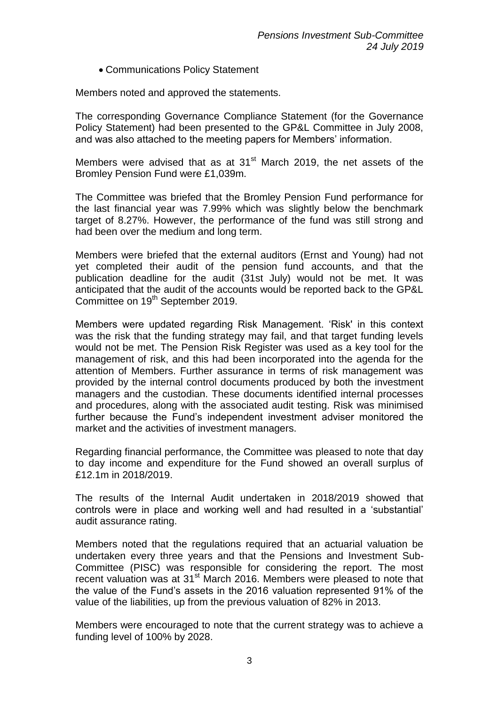Communications Policy Statement

Members noted and approved the statements.

The corresponding Governance Compliance Statement (for the Governance Policy Statement) had been presented to the GP&L Committee in July 2008, and was also attached to the meeting papers for Members' information.

Members were advised that as at 31<sup>st</sup> March 2019, the net assets of the Bromley Pension Fund were £1,039m.

The Committee was briefed that the Bromley Pension Fund performance for the last financial year was 7.99% which was slightly below the benchmark target of 8.27%. However, the performance of the fund was still strong and had been over the medium and long term.

Members were briefed that the external auditors (Ernst and Young) had not yet completed their audit of the pension fund accounts, and that the publication deadline for the audit (31st July) would not be met. It was anticipated that the audit of the accounts would be reported back to the GP&L Committee on 19<sup>th</sup> September 2019.

Members were updated regarding Risk Management. 'Risk' in this context was the risk that the funding strategy may fail, and that target funding levels would not be met. The Pension Risk Register was used as a key tool for the management of risk, and this had been incorporated into the agenda for the attention of Members. Further assurance in terms of risk management was provided by the internal control documents produced by both the investment managers and the custodian. These documents identified internal processes and procedures, along with the associated audit testing. Risk was minimised further because the Fund's independent investment adviser monitored the market and the activities of investment managers.

Regarding financial performance, the Committee was pleased to note that day to day income and expenditure for the Fund showed an overall surplus of £12.1m in 2018/2019.

The results of the Internal Audit undertaken in 2018/2019 showed that controls were in place and working well and had resulted in a 'substantial' audit assurance rating.

Members noted that the regulations required that an actuarial valuation be undertaken every three years and that the Pensions and Investment Sub-Committee (PISC) was responsible for considering the report. The most recent valuation was at 31<sup>st</sup> March 2016. Members were pleased to note that the value of the Fund's assets in the 2016 valuation represented 91% of the value of the liabilities, up from the previous valuation of 82% in 2013.

Members were encouraged to note that the current strategy was to achieve a funding level of 100% by 2028.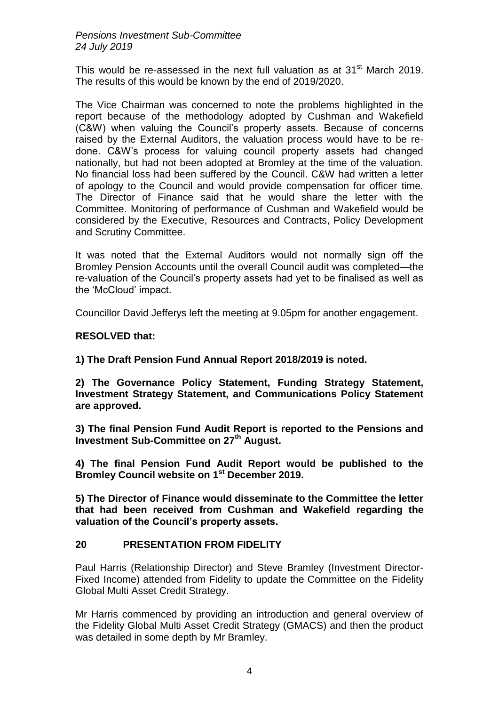This would be re-assessed in the next full valuation as at  $31<sup>st</sup>$  March 2019. The results of this would be known by the end of 2019/2020.

The Vice Chairman was concerned to note the problems highlighted in the report because of the methodology adopted by Cushman and Wakefield (C&W) when valuing the Council's property assets. Because of concerns raised by the External Auditors, the valuation process would have to be redone. C&W's process for valuing council property assets had changed nationally, but had not been adopted at Bromley at the time of the valuation. No financial loss had been suffered by the Council. C&W had written a letter of apology to the Council and would provide compensation for officer time. The Director of Finance said that he would share the letter with the Committee. Monitoring of performance of Cushman and Wakefield would be considered by the Executive, Resources and Contracts, Policy Development and Scrutiny Committee.

It was noted that the External Auditors would not normally sign off the Bromley Pension Accounts until the overall Council audit was completed—the re-valuation of the Council's property assets had yet to be finalised as well as the 'McCloud' impact.

Councillor David Jefferys left the meeting at 9.05pm for another engagement.

# **RESOLVED that:**

**1) The Draft Pension Fund Annual Report 2018/2019 is noted.**

**2) The Governance Policy Statement, Funding Strategy Statement, Investment Strategy Statement, and Communications Policy Statement are approved.**

**3) The final Pension Fund Audit Report is reported to the Pensions and Investment Sub-Committee on 27th August.**

**4) The final Pension Fund Audit Report would be published to the Bromley Council website on 1st December 2019.**

**5) The Director of Finance would disseminate to the Committee the letter that had been received from Cushman and Wakefield regarding the valuation of the Council's property assets.** 

### **20 PRESENTATION FROM FIDELITY**

Paul Harris (Relationship Director) and Steve Bramley (Investment Director-Fixed Income) attended from Fidelity to update the Committee on the Fidelity Global Multi Asset Credit Strategy.

Mr Harris commenced by providing an introduction and general overview of the Fidelity Global Multi Asset Credit Strategy (GMACS) and then the product was detailed in some depth by Mr Bramley.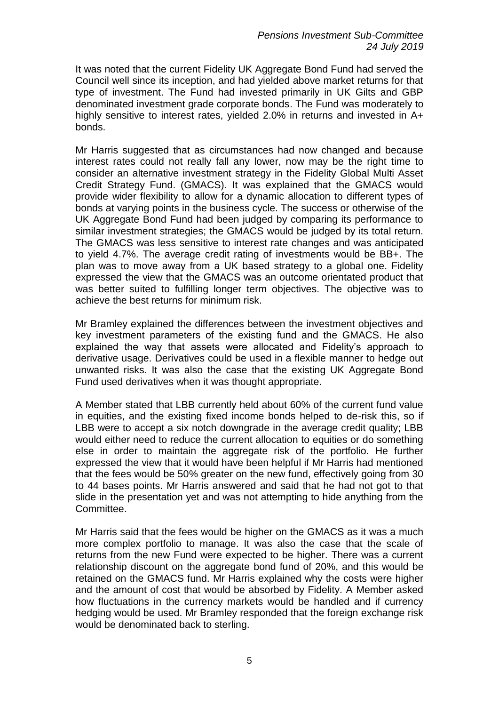It was noted that the current Fidelity UK Aggregate Bond Fund had served the Council well since its inception, and had yielded above market returns for that type of investment. The Fund had invested primarily in UK Gilts and GBP denominated investment grade corporate bonds. The Fund was moderately to highly sensitive to interest rates, yielded 2.0% in returns and invested in A+ bonds.

Mr Harris suggested that as circumstances had now changed and because interest rates could not really fall any lower, now may be the right time to consider an alternative investment strategy in the Fidelity Global Multi Asset Credit Strategy Fund. (GMACS). It was explained that the GMACS would provide wider flexibility to allow for a dynamic allocation to different types of bonds at varying points in the business cycle. The success or otherwise of the UK Aggregate Bond Fund had been judged by comparing its performance to similar investment strategies; the GMACS would be judged by its total return. The GMACS was less sensitive to interest rate changes and was anticipated to yield 4.7%. The average credit rating of investments would be BB+. The plan was to move away from a UK based strategy to a global one. Fidelity expressed the view that the GMACS was an outcome orientated product that was better suited to fulfilling longer term objectives. The objective was to achieve the best returns for minimum risk.

Mr Bramley explained the differences between the investment objectives and key investment parameters of the existing fund and the GMACS. He also explained the way that assets were allocated and Fidelity's approach to derivative usage. Derivatives could be used in a flexible manner to hedge out unwanted risks. It was also the case that the existing UK Aggregate Bond Fund used derivatives when it was thought appropriate.

A Member stated that LBB currently held about 60% of the current fund value in equities, and the existing fixed income bonds helped to de-risk this, so if LBB were to accept a six notch downgrade in the average credit quality; LBB would either need to reduce the current allocation to equities or do something else in order to maintain the aggregate risk of the portfolio. He further expressed the view that it would have been helpful if Mr Harris had mentioned that the fees would be 50% greater on the new fund, effectively going from 30 to 44 bases points. Mr Harris answered and said that he had not got to that slide in the presentation yet and was not attempting to hide anything from the Committee.

Mr Harris said that the fees would be higher on the GMACS as it was a much more complex portfolio to manage. It was also the case that the scale of returns from the new Fund were expected to be higher. There was a current relationship discount on the aggregate bond fund of 20%, and this would be retained on the GMACS fund. Mr Harris explained why the costs were higher and the amount of cost that would be absorbed by Fidelity. A Member asked how fluctuations in the currency markets would be handled and if currency hedging would be used. Mr Bramley responded that the foreign exchange risk would be denominated back to sterling.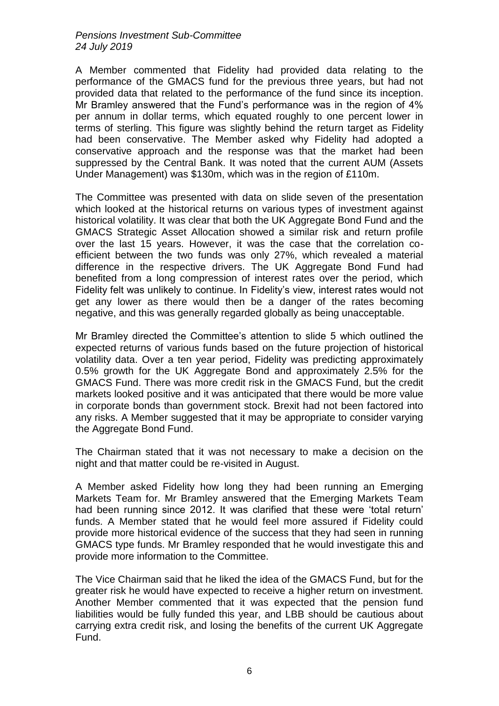A Member commented that Fidelity had provided data relating to the performance of the GMACS fund for the previous three years, but had not provided data that related to the performance of the fund since its inception. Mr Bramley answered that the Fund's performance was in the region of 4% per annum in dollar terms, which equated roughly to one percent lower in terms of sterling. This figure was slightly behind the return target as Fidelity had been conservative. The Member asked why Fidelity had adopted a conservative approach and the response was that the market had been suppressed by the Central Bank. It was noted that the current AUM (Assets Under Management) was \$130m, which was in the region of £110m.

The Committee was presented with data on slide seven of the presentation which looked at the historical returns on various types of investment against historical volatility. It was clear that both the UK Aggregate Bond Fund and the GMACS Strategic Asset Allocation showed a similar risk and return profile over the last 15 years. However, it was the case that the correlation coefficient between the two funds was only 27%, which revealed a material difference in the respective drivers. The UK Aggregate Bond Fund had benefited from a long compression of interest rates over the period, which Fidelity felt was unlikely to continue. In Fidelity's view, interest rates would not get any lower as there would then be a danger of the rates becoming negative, and this was generally regarded globally as being unacceptable.

Mr Bramley directed the Committee's attention to slide 5 which outlined the expected returns of various funds based on the future projection of historical volatility data. Over a ten year period, Fidelity was predicting approximately 0.5% growth for the UK Aggregate Bond and approximately 2.5% for the GMACS Fund. There was more credit risk in the GMACS Fund, but the credit markets looked positive and it was anticipated that there would be more value in corporate bonds than government stock. Brexit had not been factored into any risks. A Member suggested that it may be appropriate to consider varying the Aggregate Bond Fund.

The Chairman stated that it was not necessary to make a decision on the night and that matter could be re-visited in August.

A Member asked Fidelity how long they had been running an Emerging Markets Team for. Mr Bramley answered that the Emerging Markets Team had been running since 2012. It was clarified that these were 'total return' funds. A Member stated that he would feel more assured if Fidelity could provide more historical evidence of the success that they had seen in running GMACS type funds. Mr Bramley responded that he would investigate this and provide more information to the Committee.

The Vice Chairman said that he liked the idea of the GMACS Fund, but for the greater risk he would have expected to receive a higher return on investment. Another Member commented that it was expected that the pension fund liabilities would be fully funded this year, and LBB should be cautious about carrying extra credit risk, and losing the benefits of the current UK Aggregate Fund.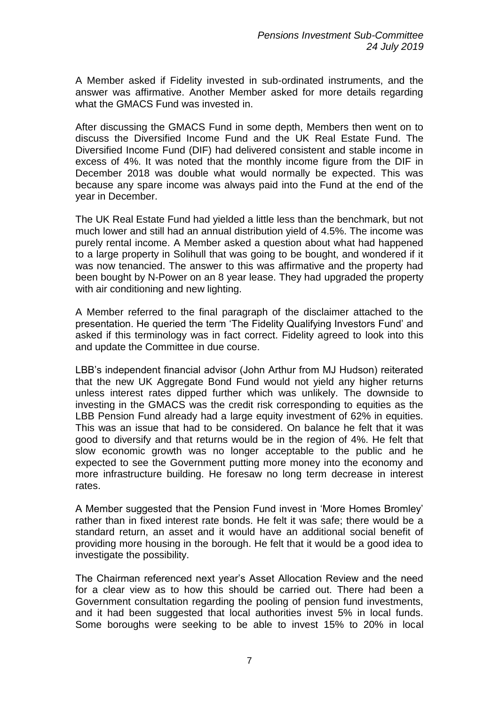A Member asked if Fidelity invested in sub-ordinated instruments, and the answer was affirmative. Another Member asked for more details regarding what the GMACS Fund was invested in.

After discussing the GMACS Fund in some depth, Members then went on to discuss the Diversified Income Fund and the UK Real Estate Fund. The Diversified Income Fund (DIF) had delivered consistent and stable income in excess of 4%. It was noted that the monthly income figure from the DIF in December 2018 was double what would normally be expected. This was because any spare income was always paid into the Fund at the end of the year in December.

The UK Real Estate Fund had yielded a little less than the benchmark, but not much lower and still had an annual distribution yield of 4.5%. The income was purely rental income. A Member asked a question about what had happened to a large property in Solihull that was going to be bought, and wondered if it was now tenancied. The answer to this was affirmative and the property had been bought by N-Power on an 8 year lease. They had upgraded the property with air conditioning and new lighting.

A Member referred to the final paragraph of the disclaimer attached to the presentation. He queried the term 'The Fidelity Qualifying Investors Fund' and asked if this terminology was in fact correct. Fidelity agreed to look into this and update the Committee in due course.

LBB's independent financial advisor (John Arthur from MJ Hudson) reiterated that the new UK Aggregate Bond Fund would not yield any higher returns unless interest rates dipped further which was unlikely. The downside to investing in the GMACS was the credit risk corresponding to equities as the LBB Pension Fund already had a large equity investment of 62% in equities. This was an issue that had to be considered. On balance he felt that it was good to diversify and that returns would be in the region of 4%. He felt that slow economic growth was no longer acceptable to the public and he expected to see the Government putting more money into the economy and more infrastructure building. He foresaw no long term decrease in interest rates.

A Member suggested that the Pension Fund invest in 'More Homes Bromley' rather than in fixed interest rate bonds. He felt it was safe; there would be a standard return, an asset and it would have an additional social benefit of providing more housing in the borough. He felt that it would be a good idea to investigate the possibility.

The Chairman referenced next year's Asset Allocation Review and the need for a clear view as to how this should be carried out. There had been a Government consultation regarding the pooling of pension fund investments, and it had been suggested that local authorities invest 5% in local funds. Some boroughs were seeking to be able to invest 15% to 20% in local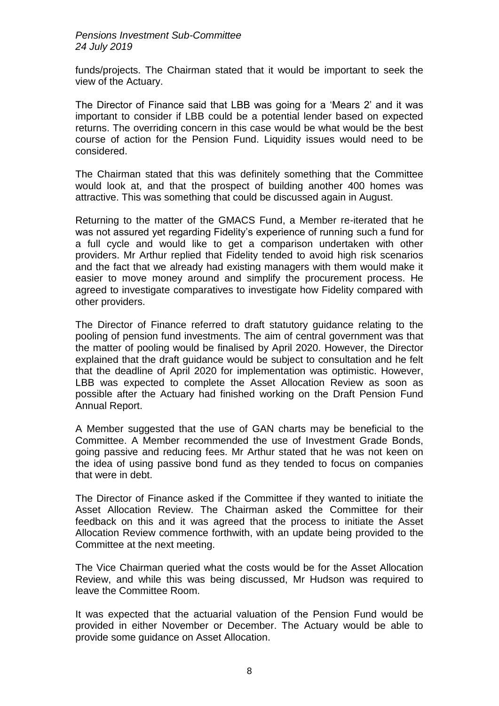funds/projects. The Chairman stated that it would be important to seek the view of the Actuary.

The Director of Finance said that LBB was going for a 'Mears 2' and it was important to consider if LBB could be a potential lender based on expected returns. The overriding concern in this case would be what would be the best course of action for the Pension Fund. Liquidity issues would need to be considered.

The Chairman stated that this was definitely something that the Committee would look at, and that the prospect of building another 400 homes was attractive. This was something that could be discussed again in August.

Returning to the matter of the GMACS Fund, a Member re-iterated that he was not assured yet regarding Fidelity's experience of running such a fund for a full cycle and would like to get a comparison undertaken with other providers. Mr Arthur replied that Fidelity tended to avoid high risk scenarios and the fact that we already had existing managers with them would make it easier to move money around and simplify the procurement process. He agreed to investigate comparatives to investigate how Fidelity compared with other providers.

The Director of Finance referred to draft statutory guidance relating to the pooling of pension fund investments. The aim of central government was that the matter of pooling would be finalised by April 2020. However, the Director explained that the draft guidance would be subject to consultation and he felt that the deadline of April 2020 for implementation was optimistic. However, LBB was expected to complete the Asset Allocation Review as soon as possible after the Actuary had finished working on the Draft Pension Fund Annual Report.

A Member suggested that the use of GAN charts may be beneficial to the Committee. A Member recommended the use of Investment Grade Bonds, going passive and reducing fees. Mr Arthur stated that he was not keen on the idea of using passive bond fund as they tended to focus on companies that were in debt.

The Director of Finance asked if the Committee if they wanted to initiate the Asset Allocation Review. The Chairman asked the Committee for their feedback on this and it was agreed that the process to initiate the Asset Allocation Review commence forthwith, with an update being provided to the Committee at the next meeting.

The Vice Chairman queried what the costs would be for the Asset Allocation Review, and while this was being discussed, Mr Hudson was required to leave the Committee Room.

It was expected that the actuarial valuation of the Pension Fund would be provided in either November or December. The Actuary would be able to provide some guidance on Asset Allocation.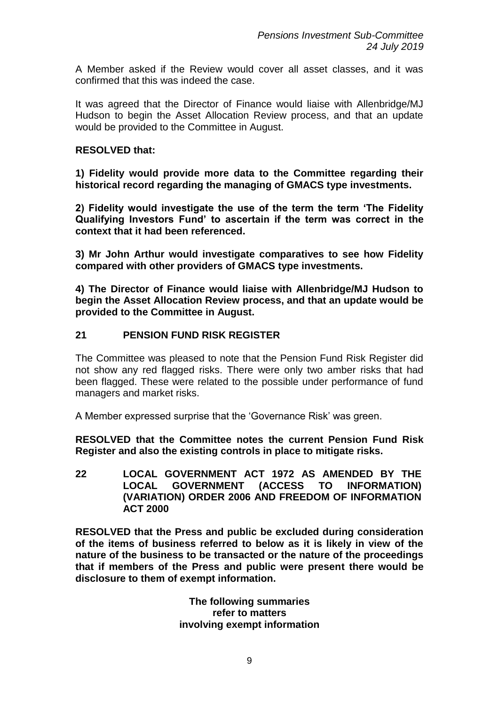A Member asked if the Review would cover all asset classes, and it was confirmed that this was indeed the case.

It was agreed that the Director of Finance would liaise with Allenbridge/MJ Hudson to begin the Asset Allocation Review process, and that an update would be provided to the Committee in August.

### **RESOLVED that:**

**1) Fidelity would provide more data to the Committee regarding their historical record regarding the managing of GMACS type investments.**

**2) Fidelity would investigate the use of the term the term 'The Fidelity Qualifying Investors Fund' to ascertain if the term was correct in the context that it had been referenced.** 

**3) Mr John Arthur would investigate comparatives to see how Fidelity compared with other providers of GMACS type investments.**

**4) The Director of Finance would liaise with Allenbridge/MJ Hudson to begin the Asset Allocation Review process, and that an update would be provided to the Committee in August.** 

## **21 PENSION FUND RISK REGISTER**

The Committee was pleased to note that the Pension Fund Risk Register did not show any red flagged risks. There were only two amber risks that had been flagged. These were related to the possible under performance of fund managers and market risks.

A Member expressed surprise that the 'Governance Risk' was green.

**RESOLVED that the Committee notes the current Pension Fund Risk Register and also the existing controls in place to mitigate risks.**

**22 LOCAL GOVERNMENT ACT 1972 AS AMENDED BY THE LOCAL GOVERNMENT (ACCESS TO INFORMATION) (VARIATION) ORDER 2006 AND FREEDOM OF INFORMATION ACT 2000**

**RESOLVED that the Press and public be excluded during consideration of the items of business referred to below as it is likely in view of the nature of the business to be transacted or the nature of the proceedings that if members of the Press and public were present there would be disclosure to them of exempt information.**

> **The following summaries refer to matters involving exempt information**